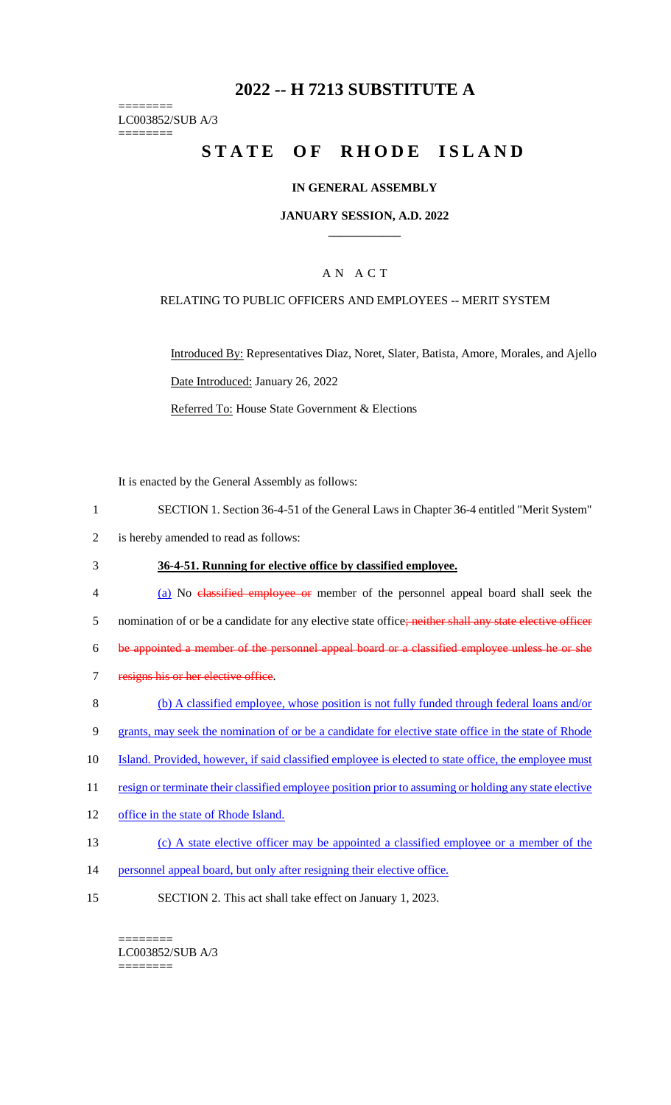# **2022 -- H 7213 SUBSTITUTE A**

======== LC003852/SUB A/3 ========

# **STATE OF RHODE ISLAND**

## **IN GENERAL ASSEMBLY**

#### **JANUARY SESSION, A.D. 2022 \_\_\_\_\_\_\_\_\_\_\_\_**

## A N A C T

## RELATING TO PUBLIC OFFICERS AND EMPLOYEES -- MERIT SYSTEM

Introduced By: Representatives Diaz, Noret, Slater, Batista, Amore, Morales, and Ajello Date Introduced: January 26, 2022 Referred To: House State Government & Elections

It is enacted by the General Assembly as follows:

- 1 SECTION 1. Section 36-4-51 of the General Laws in Chapter 36-4 entitled "Merit System"
- 2 is hereby amended to read as follows:
- 3 **36-4-51. Running for elective office by classified employee.**
- 4 (a) No classified employee or member of the personnel appeal board shall seek the

5 nomination of or be a candidate for any elective state office; neither shall any state elective officer

6 be appointed a member of the personnel appeal board or a classified employee unless he or she

- 7 resigns his or her elective office.
- 8 (b) A classified employee, whose position is not fully funded through federal loans and/or
- 9 grants, may seek the nomination of or be a candidate for elective state office in the state of Rhode
- 10 Island. Provided, however, if said classified employee is elected to state office, the employee must
- 11 resign or terminate their classified employee position prior to assuming or holding any state elective
- 12 office in the state of Rhode Island.
- 13 (c) A state elective officer may be appointed a classified employee or a member of the
- 14 personnel appeal board, but only after resigning their elective office.
- 15 SECTION 2. This act shall take effect on January 1, 2023.

======== LC003852/SUB A/3

========